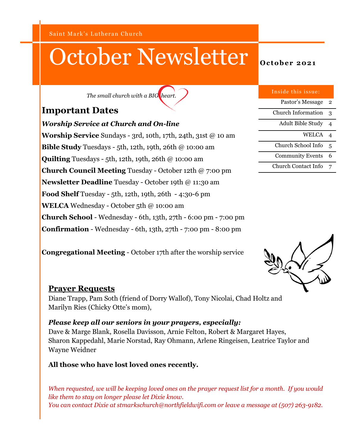# October Newsletter **October 2021**

*The small church with a BIG heart.*

# **Important Dates**

*Worship Service at Church and On-line* **Worship Service** Sundays - 3rd, 10th, 17th, 24th, 31st @ 10 am **Bible Study** Tuesdays - 5th, 12th, 19th, 26th @ 10:00 am **Quilting** Tuesdays - 5th, 12th, 19th, 26th @ 10:00 am **Church Council Meeting** Tuesday - October 12th @ 7:00 pm **Newsletter Deadline** Tuesday - October 19th @ 11:30 am **Food Shelf** Tuesday - 5th, 12th, 19th, 26th - 4:30-6 pm **WELCA** Wednesday - October 5th @ 10:00 am **Church School** - Wednesday - 6th, 13th, 27th - 6:00 pm - 7:00 pm **Confirmation** - Wednesday - 6th, 13th, 27th - 7:00 pm - 8:00 pm

| Inside this issue:        |   |
|---------------------------|---|
| Pastor's Message          | 2 |
| <b>Church Information</b> | 3 |
| <b>Adult Bible Study</b>  | 4 |
| WELCA                     |   |
| Church School Info        | 5 |
| <b>Community Events</b>   |   |

Church Contact Info 7



# **Prayer Requests**

Diane Trapp, Pam Soth (friend of Dorry Wallof), Tony Nicolai, Chad Holtz and Marilyn Ries (Chicky Otte's mom),

#### *Please keep all our seniors in your prayers, especially:*

**Congregational Meeting** - October 17th after the worship service

Dave & Marge Blank, Rosella Davisson, Arnie Felton, Robert & Margaret Hayes, Sharon Kappedahl, Marie Norstad, Ray Ohmann, Arlene Ringeisen, Leatrice Taylor and Wayne Weidner

**All those who have lost loved ones recently.**

*When requested, we will be keeping loved ones on the prayer request list for a month. If you would like them to stay on longer please let Dixie know. You can contact Dixie at stmarkschurch@northfieldwifi.com or leave a message at (507) 263-9182.*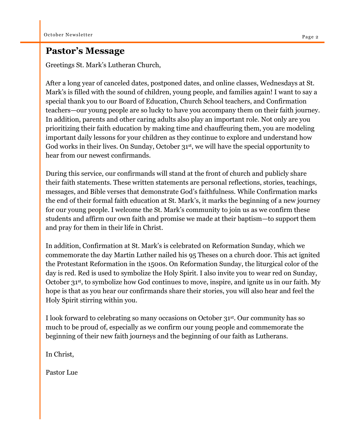# **Pastor's Message**

Greetings St. Mark's Lutheran Church,

After a long year of canceled dates, postponed dates, and online classes, Wednesdays at St. Mark's is filled with the sound of children, young people, and families again! I want to say a special thank you to our Board of Education, Church School teachers, and Confirmation teachers—our young people are so lucky to have you accompany them on their faith journey. In addition, parents and other caring adults also play an important role. Not only are you prioritizing their faith education by making time and chauffeuring them, you are modeling important daily lessons for your children as they continue to explore and understand how God works in their lives. On Sunday, October 31st, we will have the special opportunity to hear from our newest confirmands.

During this service, our confirmands will stand at the front of church and publicly share their faith statements. These written statements are personal reflections, stories, teachings, messages, and Bible verses that demonstrate God's faithfulness. While Confirmation marks the end of their formal faith education at St. Mark's, it marks the beginning of a new journey for our young people. I welcome the St. Mark's community to join us as we confirm these students and affirm our own faith and promise we made at their baptism—to support them and pray for them in their life in Christ.

In addition, Confirmation at St. Mark's is celebrated on Reformation Sunday, which we commemorate the day Martin Luther nailed his 95 Theses on a church door. This act ignited the Protestant Reformation in the 1500s. On Reformation Sunday, the liturgical color of the day is red. Red is used to symbolize the Holy Spirit. I also invite you to wear red on Sunday, October 31st, to symbolize how God continues to move, inspire, and ignite us in our faith. My hope is that as you hear our confirmands share their stories, you will also hear and feel the Holy Spirit stirring within you.

I look forward to celebrating so many occasions on October 31st. Our community has so much to be proud of, especially as we confirm our young people and commemorate the beginning of their new faith journeys and the beginning of our faith as Lutherans.

In Christ,

Pastor Lue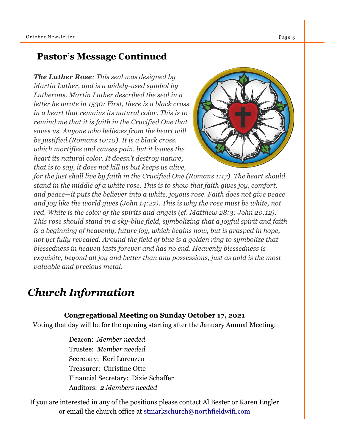# **Pastor's Message Continued**

*The Luther Rose: This seal was designed by Martin Luther, and is a widely-used symbol by Lutherans. Martin Luther described the seal in a letter he wrote in 1530: First, there is a black cross in a heart that remains its natural color. This is to remind me that it is faith in the Crucified One that saves us. Anyone who believes from the heart will be justified (Romans 10:10). It is a black cross, which mortifies and causes pain, but it leaves the heart its natural color. It doesn't destroy nature, that is to say, it does not kill us but keeps us alive,* 



*for the just shall live by faith in the Crucified One (Romans 1:17). The heart should stand in the middle of a white rose. This is to show that faith gives joy, comfort, and peace—it puts the believer into a white, joyous rose. Faith does not give peace and joy like the world gives (John 14:27). This is why the rose must be white, not red. White is the color of the spirits and angels (cf. Matthew 28:3; John 20:12). This rose should stand in a sky-blue field, symbolizing that a joyful spirit and faith is a beginning of heavenly, future joy, which begins now, but is grasped in hope, not yet fully revealed. Around the field of blue is a golden ring to symbolize that blessedness in heaven lasts forever and has no end. Heavenly blessedness is exquisite, beyond all joy and better than any possessions, just as gold is the most valuable and precious metal.*

# *Church Information*

#### **Congregational Meeting on Sunday October 17, 2021**

Voting that day will be for the opening starting after the January Annual Meeting:

Deacon: *Member needed* Trustee: *Member needed* Secretary: Keri Lorenzen Treasurer: Christine Otte Financial Secretary: Dixie Schaffer Auditors: *2 Members needed*

If you are interested in any of the positions please contact Al Bester or Karen Engler or email the church office at stmarkschurch@northfieldwifi.com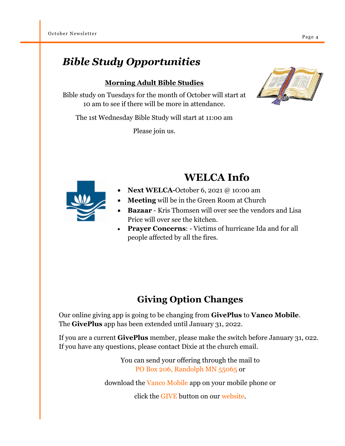# *Bible Study Opportunities*

#### **Morning Adult Bible Studies**

Bible study on Tuesdays for the month of October will start at 10 am to see if there will be more in attendance.

The 1st Wednesday Bible Study will start at 11:00 am

Please join us.



# **WELCA Info**

- **Next WELCA-**October 6, 2021 @ 10:00 am
- **Meeting** will be in the Green Room at Church
- **Bazaar** Kris Thomsen will over see the vendors and Lisa Price will over see the kitchen.
- **Prayer Concerns**: Victims of hurricane Ida and for all people affected by all the fires.

# **Giving Option Changes**

Our online giving app is going to be changing from **GivePlus** to **Vanco Mobile**. The **GivePlus** app has been extended until January 31, 2022.

If you are a current **GivePlus** member, please make the switch before January 31, 022. If you have any questions, please contact Dixie at the church email.

> You can send your offering through the mail to PO Box 206, Randolph MN 55065 or

download the Vanco Mobile app on your mobile phone or

click the GIVE button on our website*.*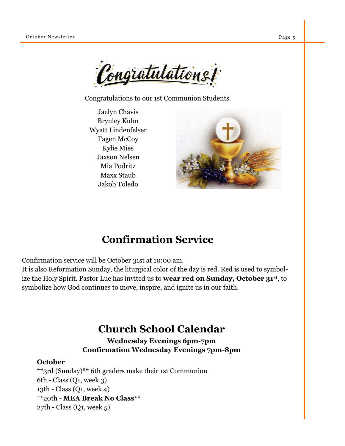

Congratulations to our 1st Communion Students.

Jaelyn Chavis Brynley Kuhn Wyatt Lindenfelser Tagen McCoy Kylie Mies Jaxson Nelsen Mia Podritz Maxx Staub Jakob Toledo



# **Confirmation Service**

Confirmation service will be October 31st at 10:00 am.

It is also Reformation Sunday, the liturgical color of the day is red. Red is used to symbolize the Holy Spirit. Pastor Lue has invited us to **wear red on Sunday, October 31st**, to symbolize how God continues to move, inspire, and ignite us in our faith.

# **Church School Calendar**

#### **Wednesday Evenings 6pm-7pm Confirmation Wednesday Evenings 7pm-8pm**

#### **October**

\*\*3rd (Sunday)\*\* 6th graders make their 1st Communion 6th - Class (Q1, week 3) 13th - Class (Q1, week 4) \*\*20th - **MEA Break No Class**\*\* 27th - Class (Q1, week 5)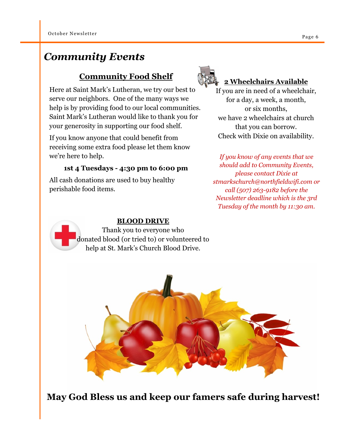# *Community Events*

# **Community Food Shelf**

Here at Saint Mark's Lutheran, we try our best to serve our neighbors. One of the many ways we help is by providing food to our local communities. Saint Mark's Lutheran would like to thank you for your generosity in supporting our food shelf.

If you know anyone that could benefit from receiving some extra food please let them know we're here to help.

#### **1st 4 Tuesdays - 4:30 pm to 6:00 pm**

All cash donations are used to buy healthy perishable food items.



### **2 Wheelchairs Available**

If you are in need of a wheelchair, for a day, a week, a month, or six months, we have 2 wheelchairs at church that you can borrow. Check with Dixie on availability.

*If you know of any events that we should add to Community Events, please contact Dixie at stmarkschurch@northfieldwifi.com or call (507) 263-9182 before the Newsletter deadline which is the 3rd Tuesday of the month by 11:30 am.*



#### **BLOOD DRIVE**

Thank you to everyone who donated blood (or tried to) or volunteered to help at St. Mark's Church Blood Drive.



**May God Bless us and keep our famers safe during harvest!**